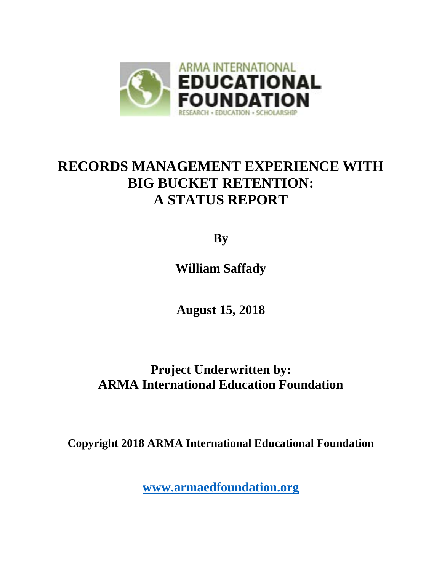

# **RECORDS MANAGEMENT EXPERIENCE WITH BIG BUCKET RETENTION: A STATUS REPORT**

**By**

**William Saffady** 

**August 15, 2018**

# **Project Underwritten by: ARMA International Education Foundation**

**Copyright 2018 ARMA International Educational Foundation**

**[www.armaedfoundation.org](http://www.armaedfoundation.org/)**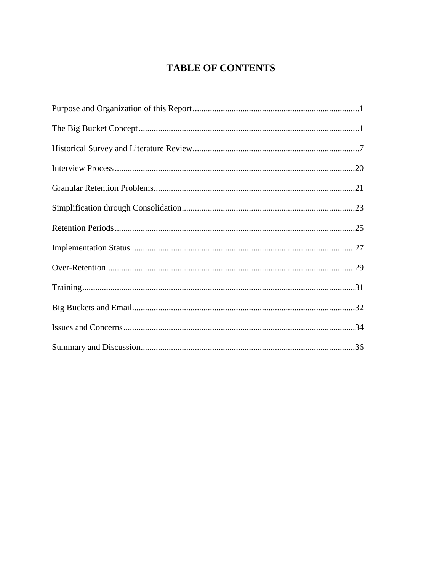# **TABLE OF CONTENTS**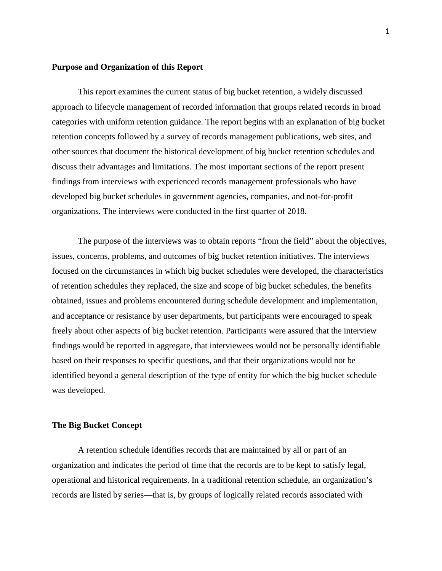#### **Purpose and Organization of this Report**

This report examines the current status of big bucket retention, a widely discussed approach to lifecycle management of recorded information that groups related records in broad categories with uniform retention guidance. The report begins with an explanation of big bucket retention concepts followed by a survey of records management publications, web sites, and other sources that document the historical development of big bucket retention schedules and discuss their advantages and limitations. The most important sections of the report present findings from interviews with experienced records management professionals who have developed big bucket schedules in government agencies, companies, and not-for-profit organizations. The interviews were conducted in the first quarter of 2018.

The purpose of the interviews was to obtain reports "from the field" about the objectives, issues, concerns, problems, and outcomes of big bucket retention initiatives. The interviews focused on the circumstances in which big bucket schedules were developed, the characteristics of retention schedules they replaced, the size and scope of big bucket schedules, the benefits obtained, issues and problems encountered during schedule development and implementation, and acceptance or resistance by user departments, but participants were encouraged to speak freely about other aspects of big bucket retention. Participants were assured that the interview findings would be reported in aggregate, that interviewees would not be personally identifiable based on their responses to specific questions, and that their organizations would not be identified beyond a general description of the type of entity for which the big bucket schedule was developed.

#### **The Big Bucket Concept**

A retention schedule identifies records that are maintained by all or part of an organization and indicates the period of time that the records are to be kept to satisfy legal, operational and historical requirements. In a traditional retention schedule, an organization's records are listed by series—that is, by groups of logically related records associated with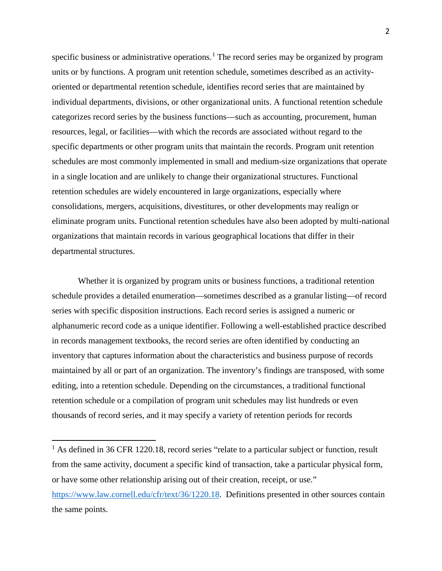specific business or administrative operations.<sup>[1](#page-3-0)</sup> The record series may be organized by program units or by functions. A program unit retention schedule, sometimes described as an activityoriented or departmental retention schedule, identifies record series that are maintained by individual departments, divisions, or other organizational units. A functional retention schedule categorizes record series by the business functions—such as accounting, procurement, human resources, legal, or facilities—with which the records are associated without regard to the specific departments or other program units that maintain the records. Program unit retention schedules are most commonly implemented in small and medium-size organizations that operate in a single location and are unlikely to change their organizational structures. Functional retention schedules are widely encountered in large organizations, especially where consolidations, mergers, acquisitions, divestitures, or other developments may realign or eliminate program units. Functional retention schedules have also been adopted by multi-national organizations that maintain records in various geographical locations that differ in their departmental structures.

Whether it is organized by program units or business functions, a traditional retention schedule provides a detailed enumeration—sometimes described as a granular listing—of record series with specific disposition instructions. Each record series is assigned a numeric or alphanumeric record code as a unique identifier. Following a well-established practice described in records management textbooks, the record series are often identified by conducting an inventory that captures information about the characteristics and business purpose of records maintained by all or part of an organization. The inventory's findings are transposed, with some editing, into a retention schedule. Depending on the circumstances, a traditional functional retention schedule or a compilation of program unit schedules may list hundreds or even thousands of record series, and it may specify a variety of retention periods for records

<span id="page-3-0"></span> $<sup>1</sup>$  As defined in 36 CFR 1220.18, record series "relate to a particular subject or function, result</sup> from the same activity, document a specific kind of transaction, take a particular physical form, or have some other relationship arising out of their creation, receipt, or use." [https://www.law.cornell.edu/cfr/text/36/1220.18.](https://www.law.cornell.edu/cfr/text/36/1220.18) Definitions presented in other sources contain the same points.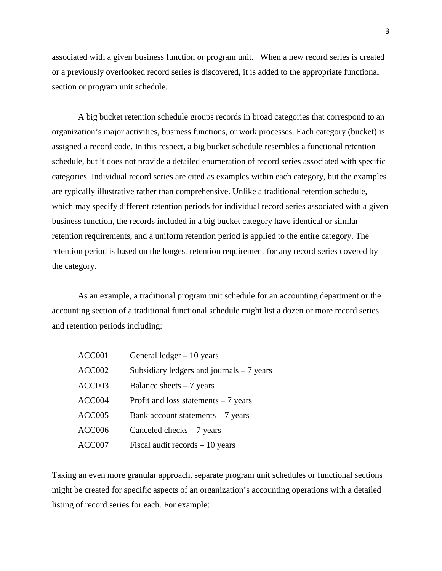associated with a given business function or program unit. When a new record series is created or a previously overlooked record series is discovered, it is added to the appropriate functional section or program unit schedule.

A big bucket retention schedule groups records in broad categories that correspond to an organization's major activities, business functions, or work processes. Each category (bucket) is assigned a record code. In this respect, a big bucket schedule resembles a functional retention schedule, but it does not provide a detailed enumeration of record series associated with specific categories. Individual record series are cited as examples within each category, but the examples are typically illustrative rather than comprehensive. Unlike a traditional retention schedule, which may specify different retention periods for individual record series associated with a given business function, the records included in a big bucket category have identical or similar retention requirements, and a uniform retention period is applied to the entire category. The retention period is based on the longest retention requirement for any record series covered by the category.

As an example, a traditional program unit schedule for an accounting department or the accounting section of a traditional functional schedule might list a dozen or more record series and retention periods including:

| ACC001 | General ledger $-10$ years                 |
|--------|--------------------------------------------|
| ACC002 | Subsidiary ledgers and journals $-7$ years |
| ACC003 | Balance sheets $-7$ years                  |
| ACC004 | Profit and loss statements $-7$ years      |
| ACC005 | Bank account statements $-7$ years         |
| ACC006 | Canceled checks $-7$ years                 |
| ACC007 | Fiscal audit records $-10$ years           |

Taking an even more granular approach, separate program unit schedules or functional sections might be created for specific aspects of an organization's accounting operations with a detailed listing of record series for each. For example: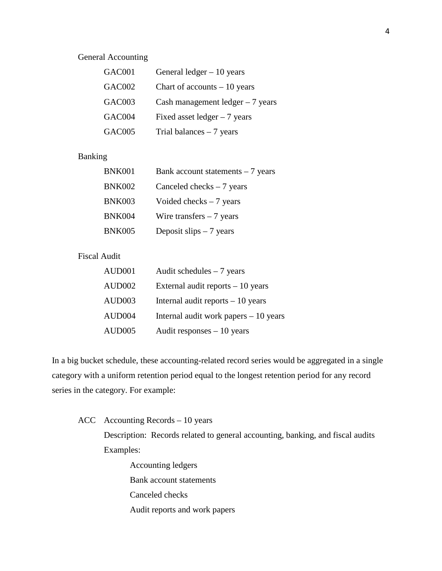## General Accounting

| GAC001 | General $ledger - 10 years$       |
|--------|-----------------------------------|
| GAC002 | Chart of accounts $-10$ years     |
| GAC003 | Cash management ledger $-7$ years |
| GAC004 | Fixed asset ledger $-7$ years     |
| GAC005 | Trial balances $-7$ years         |

# Banking

| <b>BNK001</b> | Bank account statements $-7$ years |
|---------------|------------------------------------|
| <b>BNK002</b> | Canceled checks $-7$ years         |
| <b>BNK003</b> | Voided checks $-7$ years           |
| <b>BNK004</b> | Wire transfers $-7$ years          |
| <b>BNK005</b> | Deposit slips $-7$ years           |

## Fiscal Audit

| AUD001 | Audit schedules $-7$ years             |
|--------|----------------------------------------|
| AUD002 | External audit reports $-10$ years     |
| AUD003 | Internal audit reports $-10$ years     |
| AUD004 | Internal audit work papers $-10$ years |
| AUD005 | Audit responses $-10$ years            |

In a big bucket schedule, these accounting-related record series would be aggregated in a single category with a uniform retention period equal to the longest retention period for any record series in the category. For example:

ACC Accounting Records – 10 years

Description: Records related to general accounting, banking, and fiscal audits Examples:

Accounting ledgers Bank account statements Canceled checks Audit reports and work papers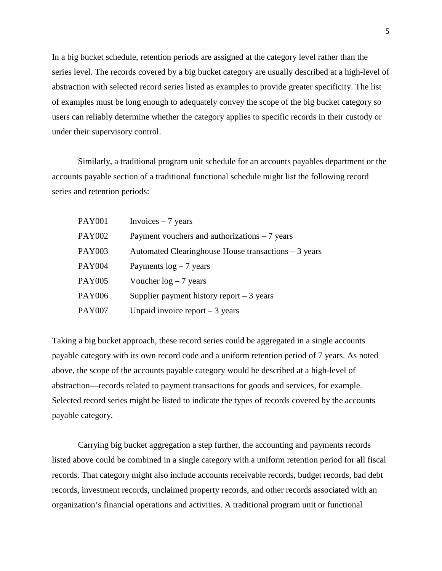In a big bucket schedule, retention periods are assigned at the category level rather than the series level. The records covered by a big bucket category are usually described at a high-level of abstraction with selected record series listed as examples to provide greater specificity. The list of examples must be long enough to adequately convey the scope of the big bucket category so users can reliably determine whether the category applies to specific records in their custody or under their supervisory control.

Similarly, a traditional program unit schedule for an accounts payables department or the accounts payable section of a traditional functional schedule might list the following record series and retention periods:

| PAY001 | Invoices $-7$ years                                  |
|--------|------------------------------------------------------|
| PAY002 | Payment vouchers and authorizations $-7$ years       |
| PAY003 | Automated Clearinghouse House transactions – 3 years |
| PAY004 | Payments $log - 7$ years                             |
| PAY005 | Voucher $log - 7$ years                              |
| PAY006 | Supplier payment history report $-3$ years           |
| PAY007 | Unpaid invoice report $-3$ years                     |

Taking a big bucket approach, these record series could be aggregated in a single accounts payable category with its own record code and a uniform retention period of 7 years. As noted above, the scope of the accounts payable category would be described at a high-level of abstraction—records related to payment transactions for goods and services, for example. Selected record series might be listed to indicate the types of records covered by the accounts payable category.

Carrying big bucket aggregation a step further, the accounting and payments records listed above could be combined in a single category with a uniform retention period for all fiscal records. That category might also include accounts receivable records, budget records, bad debt records, investment records, unclaimed property records, and other records associated with an organization's financial operations and activities. A traditional program unit or functional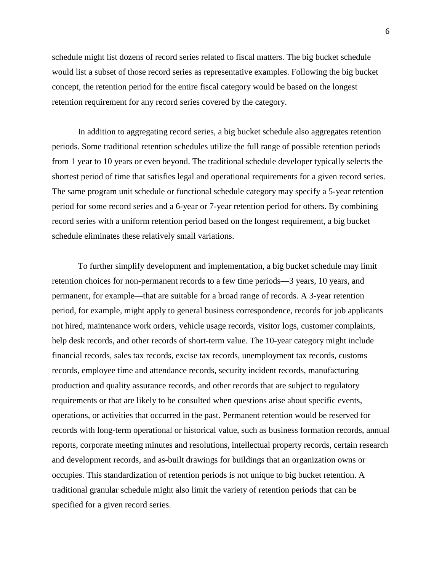schedule might list dozens of record series related to fiscal matters. The big bucket schedule would list a subset of those record series as representative examples. Following the big bucket concept, the retention period for the entire fiscal category would be based on the longest retention requirement for any record series covered by the category.

In addition to aggregating record series, a big bucket schedule also aggregates retention periods. Some traditional retention schedules utilize the full range of possible retention periods from 1 year to 10 years or even beyond. The traditional schedule developer typically selects the shortest period of time that satisfies legal and operational requirements for a given record series. The same program unit schedule or functional schedule category may specify a 5-year retention period for some record series and a 6-year or 7-year retention period for others. By combining record series with a uniform retention period based on the longest requirement, a big bucket schedule eliminates these relatively small variations.

To further simplify development and implementation, a big bucket schedule may limit retention choices for non-permanent records to a few time periods—3 years, 10 years, and permanent, for example—that are suitable for a broad range of records. A 3-year retention period, for example, might apply to general business correspondence, records for job applicants not hired, maintenance work orders, vehicle usage records, visitor logs, customer complaints, help desk records, and other records of short-term value. The 10-year category might include financial records, sales tax records, excise tax records, unemployment tax records, customs records, employee time and attendance records, security incident records, manufacturing production and quality assurance records, and other records that are subject to regulatory requirements or that are likely to be consulted when questions arise about specific events, operations, or activities that occurred in the past. Permanent retention would be reserved for records with long-term operational or historical value, such as business formation records, annual reports, corporate meeting minutes and resolutions, intellectual property records, certain research and development records, and as-built drawings for buildings that an organization owns or occupies. This standardization of retention periods is not unique to big bucket retention. A traditional granular schedule might also limit the variety of retention periods that can be specified for a given record series.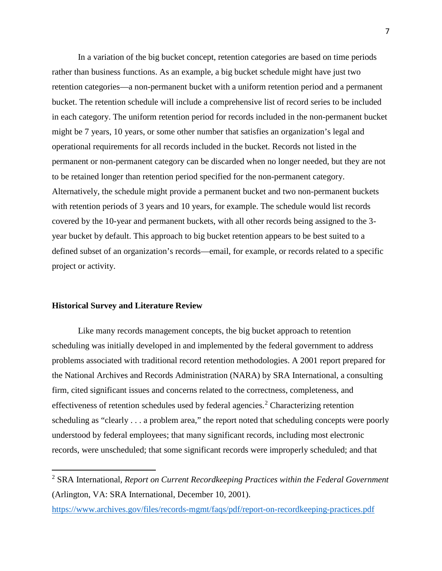In a variation of the big bucket concept, retention categories are based on time periods rather than business functions. As an example, a big bucket schedule might have just two retention categories—a non-permanent bucket with a uniform retention period and a permanent bucket. The retention schedule will include a comprehensive list of record series to be included in each category. The uniform retention period for records included in the non-permanent bucket might be 7 years, 10 years, or some other number that satisfies an organization's legal and operational requirements for all records included in the bucket. Records not listed in the permanent or non-permanent category can be discarded when no longer needed, but they are not to be retained longer than retention period specified for the non-permanent category. Alternatively, the schedule might provide a permanent bucket and two non-permanent buckets with retention periods of 3 years and 10 years, for example. The schedule would list records covered by the 10-year and permanent buckets, with all other records being assigned to the 3 year bucket by default. This approach to big bucket retention appears to be best suited to a defined subset of an organization's records—email, for example, or records related to a specific project or activity.

#### **Historical Survey and Literature Review**

 $\overline{a}$ 

Like many records management concepts, the big bucket approach to retention scheduling was initially developed in and implemented by the federal government to address problems associated with traditional record retention methodologies. A 2001 report prepared for the National Archives and Records Administration (NARA) by SRA International, a consulting firm, cited significant issues and concerns related to the correctness, completeness, and effectiveness of retention schedules used by federal agencies.<sup>[2](#page-8-0)</sup> Characterizing retention scheduling as "clearly . . . a problem area," the report noted that scheduling concepts were poorly understood by federal employees; that many significant records, including most electronic records, were unscheduled; that some significant records were improperly scheduled; and that

<span id="page-8-0"></span><sup>2</sup> SRA International, *Report on Current Recordkeeping Practices within the Federal Government* (Arlington, VA: SRA International, December 10, 2001).

<https://www.archives.gov/files/records-mgmt/faqs/pdf/report-on-recordkeeping-practices.pdf>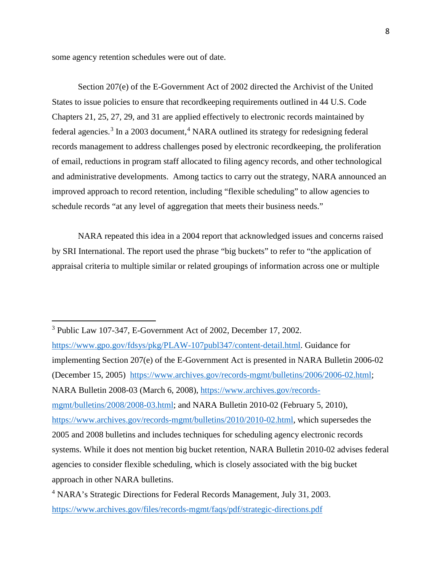some agency retention schedules were out of date.

Section 207(e) of the E-Government Act of 2002 directed the Archivist of the United States to issue policies to ensure that recordkeeping requirements outlined in 44 U.S. Code Chapters 21, 25, 27, 29, and 31 are applied effectively to electronic records maintained by federal agencies.<sup>[3](#page-9-0)</sup> In a 2003 document,<sup>[4](#page-9-1)</sup> NARA outlined its strategy for redesigning federal records management to address challenges posed by electronic recordkeeping, the proliferation of email, reductions in program staff allocated to filing agency records, and other technological and administrative developments. Among tactics to carry out the strategy, NARA announced an improved approach to record retention, including "flexible scheduling" to allow agencies to schedule records "at any level of aggregation that meets their business needs."

NARA repeated this idea in a 2004 report that acknowledged issues and concerns raised by SRI International. The report used the phrase "big buckets" to refer to "the application of appraisal criteria to multiple similar or related groupings of information across one or multiple

<span id="page-9-0"></span><sup>3</sup> Public Law 107-347, E-Government Act of 2002, December 17, 2002.

[https://www.gpo.gov/fdsys/pkg/PLAW-107publ347/content-detail.html.](https://www.gpo.gov/fdsys/pkg/PLAW-107publ347/content-detail.html) Guidance for implementing Section 207(e) of the E-Government Act is presented in NARA Bulletin 2006-02 (December 15, 2005) [https://www.archives.gov/records-mgmt/bulletins/2006/2006-02.html;](https://www.archives.gov/records-mgmt/bulletins/2006/2006-02.html) NARA Bulletin 2008-03 (March 6, 2008), [https://www.archives.gov/records](https://www.archives.gov/records-mgmt/bulletins/2008/2008-03.html)[mgmt/bulletins/2008/2008-03.html;](https://www.archives.gov/records-mgmt/bulletins/2008/2008-03.html) and NARA Bulletin 2010-02 (February 5, 2010), [https://www.archives.gov/records-mgmt/bulletins/2010/2010-02.html,](https://www.archives.gov/records-mgmt/bulletins/2010/2010-02.html) which supersedes the 2005 and 2008 bulletins and includes techniques for scheduling agency electronic records systems. While it does not mention big bucket retention, NARA Bulletin 2010-02 advises federal agencies to consider flexible scheduling, which is closely associated with the big bucket approach in other NARA bulletins.

<span id="page-9-1"></span><sup>4</sup> NARA's Strategic Directions for Federal Records Management, July 31, 2003. <https://www.archives.gov/files/records-mgmt/faqs/pdf/strategic-directions.pdf>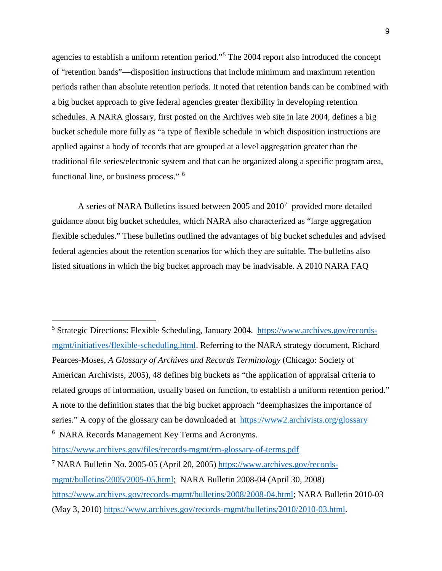agencies to establish a uniform retention period."[5](#page-10-0) The 2004 report also introduced the concept of "retention bands"—disposition instructions that include minimum and maximum retention periods rather than absolute retention periods. It noted that retention bands can be combined with a big bucket approach to give federal agencies greater flexibility in developing retention schedules. A NARA glossary, first posted on the Archives web site in late 2004, defines a big bucket schedule more fully as "a type of flexible schedule in which disposition instructions are applied against a body of records that are grouped at a level aggregation greater than the traditional file series/electronic system and that can be organized along a specific program area, functional line, or business process." [6](#page-10-1)

A series of NARA Bulletins issued between 2005 and  $2010<sup>7</sup>$  $2010<sup>7</sup>$  $2010<sup>7</sup>$  provided more detailed guidance about big bucket schedules, which NARA also characterized as "large aggregation flexible schedules." These bulletins outlined the advantages of big bucket schedules and advised federal agencies about the retention scenarios for which they are suitable. The bulletins also listed situations in which the big bucket approach may be inadvisable. A 2010 NARA FAQ

<span id="page-10-0"></span><sup>5</sup> Strategic Directions: Flexible Scheduling, January 2004. [https://www.archives.gov/records](https://www.archives.gov/records-mgmt/initiatives/flexible-scheduling.html)[mgmt/initiatives/flexible-scheduling.html.](https://www.archives.gov/records-mgmt/initiatives/flexible-scheduling.html) Referring to the NARA strategy document, Richard Pearces-Moses, *A Glossary of Archives and Records Terminology* (Chicago: Society of American Archivists, 2005), 48 defines big buckets as "the application of appraisal criteria to related groups of information, usually based on function, to establish a uniform retention period." A note to the definition states that the big bucket approach "deemphasizes the importance of series." A copy of the glossary can be downloaded at <https://www2.archivists.org/glossary> <sup>6</sup> NARA Records Management Key Terms and Acronyms.

<span id="page-10-2"></span><span id="page-10-1"></span><https://www.archives.gov/files/records-mgmt/rm-glossary-of-terms.pdf> <sup>7</sup> NARA Bulletin No. 2005-05 (April 20, 2005) [https://www.archives.gov/records](https://www.archives.gov/records-mgmt/bulletins/2005/2005-05.html)[mgmt/bulletins/2005/2005-05.html;](https://www.archives.gov/records-mgmt/bulletins/2005/2005-05.html) NARA Bulletin 2008-04 (April 30, 2008)

[https://www.archives.gov/records-mgmt/bulletins/2008/2008-04.html;](https://www.archives.gov/records-mgmt/bulletins/2008/2008-04.html) NARA Bulletin 2010-03 (May 3, 2010) [https://www.archives.gov/records-mgmt/bulletins/2010/2010-03.html.](https://www.archives.gov/records-mgmt/bulletins/2010/2010-03.html)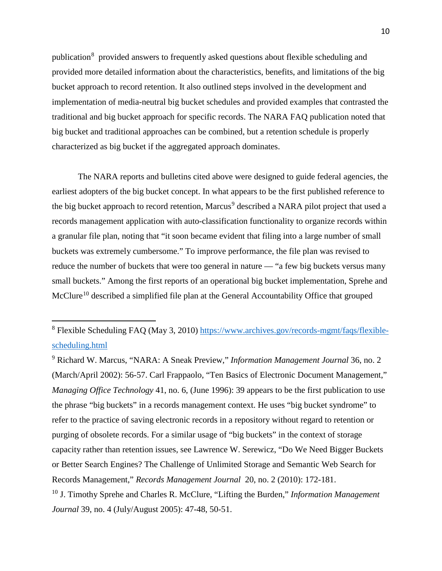publication<sup>[8](#page-11-0)</sup> provided answers to frequently asked questions about flexible scheduling and provided more detailed information about the characteristics, benefits, and limitations of the big bucket approach to record retention. It also outlined steps involved in the development and implementation of media-neutral big bucket schedules and provided examples that contrasted the traditional and big bucket approach for specific records. The NARA FAQ publication noted that big bucket and traditional approaches can be combined, but a retention schedule is properly characterized as big bucket if the aggregated approach dominates.

The NARA reports and bulletins cited above were designed to guide federal agencies, the earliest adopters of the big bucket concept. In what appears to be the first published reference to the big bucket approach to record retention, Marcus<sup>[9](#page-11-1)</sup> described a NARA pilot project that used a records management application with auto-classification functionality to organize records within a granular file plan, noting that "it soon became evident that filing into a large number of small buckets was extremely cumbersome." To improve performance, the file plan was revised to reduce the number of buckets that were too general in nature — "a few big buckets versus many small buckets." Among the first reports of an operational big bucket implementation, Sprehe and McClure<sup>[10](#page-11-2)</sup> described a simplified file plan at the General Accountability Office that grouped

 $\overline{a}$ 

<span id="page-11-1"></span><sup>9</sup> Richard W. Marcus, "NARA: A Sneak Preview," *Information Management Journal* 36, no. 2 (March/April 2002): 56-57. Carl Frappaolo, "Ten Basics of Electronic Document Management," *Managing Office Technology* 41, no. 6, (June 1996): 39 appears to be the first publication to use the phrase "big buckets" in a records management context. He uses "big bucket syndrome" to refer to the practice of saving electronic records in a repository without regard to retention or purging of obsolete records. For a similar usage of "big buckets" in the context of storage capacity rather than retention issues, see Lawrence W. Serewicz, "Do We Need Bigger Buckets or Better Search Engines? The Challenge of Unlimited Storage and Semantic Web Search for Records Management," *Records Management Journal* 20, no. 2 (2010): 172-181.

<span id="page-11-2"></span><sup>10</sup> J. Timothy Sprehe and Charles R. McClure, "Lifting the Burden," *Information Management Journal* 39, no. 4 (July/August 2005): 47-48, 50-51.

<span id="page-11-0"></span><sup>8</sup> Flexible Scheduling FAQ (May 3, 2010) [https://www.archives.gov/records-mgmt/faqs/flexible](https://www.archives.gov/records-mgmt/faqs/flexible-scheduling.html)[scheduling.html](https://www.archives.gov/records-mgmt/faqs/flexible-scheduling.html)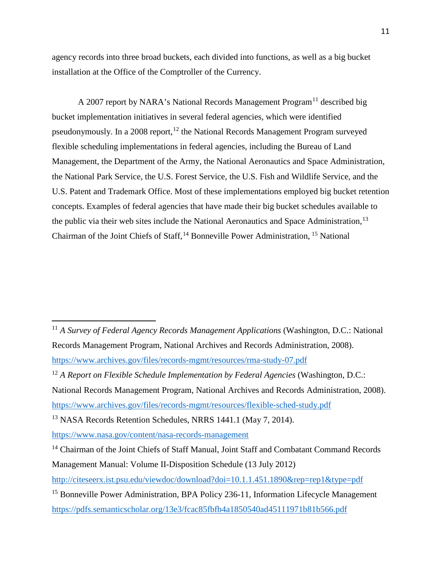agency records into three broad buckets, each divided into functions, as well as a big bucket installation at the Office of the Comptroller of the Currency.

A 2007 report by NARA's National Records Management Program<sup>[11](#page-12-0)</sup> described big bucket implementation initiatives in several federal agencies, which were identified pseudonymously. In a 2008 report,  $^{12}$  $^{12}$  $^{12}$  the National Records Management Program surveyed flexible scheduling implementations in federal agencies, including the Bureau of Land Management, the Department of the Army, the National Aeronautics and Space Administration, the National Park Service, the U.S. Forest Service, the U.S. Fish and Wildlife Service, and the U.S. Patent and Trademark Office. Most of these implementations employed big bucket retention concepts. Examples of federal agencies that have made their big bucket schedules available to the public via their web sites include the National Aeronautics and Space Administration,<sup>[13](#page-12-2)</sup> Chairman of the Joint Chiefs of Staff,<sup>[14](#page-12-3)</sup> Bonneville Power Administration, <sup>[15](#page-12-4)</sup> National

<span id="page-12-0"></span><sup>11</sup> *A Survey of Federal Agency Records Management Applications* (Washington, D.C.: National Records Management Program, National Archives and Records Administration, 2008). <https://www.archives.gov/files/records-mgmt/resources/rma-study-07.pdf>

National Records Management Program, National Archives and Records Administration, 2008). <https://www.archives.gov/files/records-mgmt/resources/flexible-sched-study.pdf>

<span id="page-12-2"></span><sup>13</sup> NASA Records Retention Schedules, NRRS 1441.1 (May 7, 2014).

<https://www.nasa.gov/content/nasa-records-management>

<span id="page-12-1"></span><sup>12</sup> *A Report on Flexible Schedule Implementation by Federal Agencies* (Washington, D.C.:

<span id="page-12-3"></span><sup>&</sup>lt;sup>14</sup> Chairman of the Joint Chiefs of Staff Manual, Joint Staff and Combatant Command Records Management Manual: Volume II-Disposition Schedule (13 July 2012)

<http://citeseerx.ist.psu.edu/viewdoc/download?doi=10.1.1.451.1890&rep=rep1&type=pdf>

<span id="page-12-4"></span><sup>&</sup>lt;sup>15</sup> Bonneville Power Administration, BPA Policy 236-11, Information Lifecycle Management <https://pdfs.semanticscholar.org/13e3/fcac85fbfb4a1850540ad45111971b81b566.pdf>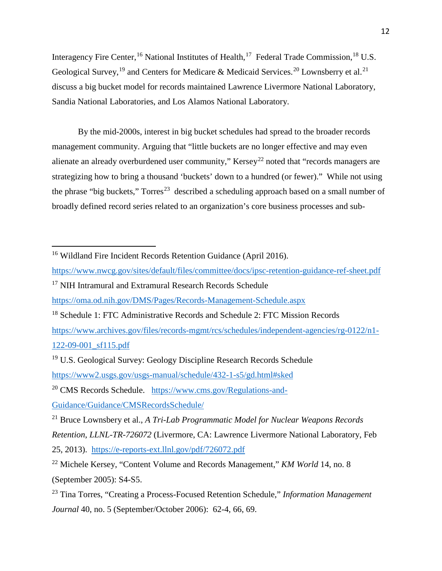Interagency Fire Center, <sup>[16](#page-13-0)</sup> National Institutes of Health, <sup>17</sup> Federal Trade Commission, <sup>[18](#page-13-2)</sup> U.S. Geological Survey,<sup>[19](#page-13-3)</sup> and Centers for Medicare & Medicaid Services.<sup>[20](#page-13-4)</sup> Lownsberry et al.<sup>[21](#page-13-5)</sup> discuss a big bucket model for records maintained Lawrence Livermore National Laboratory, Sandia National Laboratories, and Los Alamos National Laboratory.

By the mid-2000s, interest in big bucket schedules had spread to the broader records management community. Arguing that "little buckets are no longer effective and may even alienate an already overburdened user community," Kersey<sup>[22](#page-13-6)</sup> noted that "records managers are strategizing how to bring a thousand 'buckets' down to a hundred (or fewer)." While not using the phrase "big buckets," Torres<sup>23</sup> described a scheduling approach based on a small number of broadly defined record series related to an organization's core business processes and sub-

- <https://www.nwcg.gov/sites/default/files/committee/docs/ipsc-retention-guidance-ref-sheet.pdf>
- <span id="page-13-1"></span><sup>17</sup> NIH Intramural and Extramural Research Records Schedule

 $\overline{a}$ 

<https://oma.od.nih.gov/DMS/Pages/Records-Management-Schedule.aspx>

[https://www.archives.gov/files/records-mgmt/rcs/schedules/independent-agencies/rg-0122/n1-](https://www.archives.gov/files/records-mgmt/rcs/schedules/independent-agencies/rg-0122/n1-122-09-001_sf115.pdf) [122-09-001\\_sf115.pdf](https://www.archives.gov/files/records-mgmt/rcs/schedules/independent-agencies/rg-0122/n1-122-09-001_sf115.pdf)

<span id="page-13-4"></span><sup>20</sup> CMS Records Schedule. [https://www.cms.gov/Regulations-and-](https://www.cms.gov/Regulations-and-Guidance/Guidance/CMSRecordsSchedule/)[Guidance/Guidance/CMSRecordsSchedule/](https://www.cms.gov/Regulations-and-Guidance/Guidance/CMSRecordsSchedule/)

25, 2013). <https://e-reports-ext.llnl.gov/pdf/726072.pdf>

<span id="page-13-0"></span><sup>&</sup>lt;sup>16</sup> Wildland Fire Incident Records Retention Guidance (April 2016).

<span id="page-13-2"></span><sup>&</sup>lt;sup>18</sup> Schedule 1: FTC Administrative Records and Schedule 2: FTC Mission Records

<span id="page-13-3"></span><sup>&</sup>lt;sup>19</sup> U.S. Geological Survey: Geology Discipline Research Records Schedule <https://www2.usgs.gov/usgs-manual/schedule/432-1-s5/gd.html#sked>

<span id="page-13-5"></span><sup>21</sup> Bruce Lownsbery et al., *A Tri-Lab Programmatic Model for Nuclear Weapons Records Retention*, *LLNL-TR-726072* (Livermore, CA: Lawrence Livermore National Laboratory, Feb

<span id="page-13-6"></span><sup>22</sup> Michele Kersey, "Content Volume and Records Management," *KM World* 14, no. 8 (September 2005): S4-S5.

<span id="page-13-7"></span><sup>23</sup> Tina Torres, "Creating a Process-Focused Retention Schedule," *Information Management Journal* 40, no. 5 (September/October 2006): 62-4, 66, 69.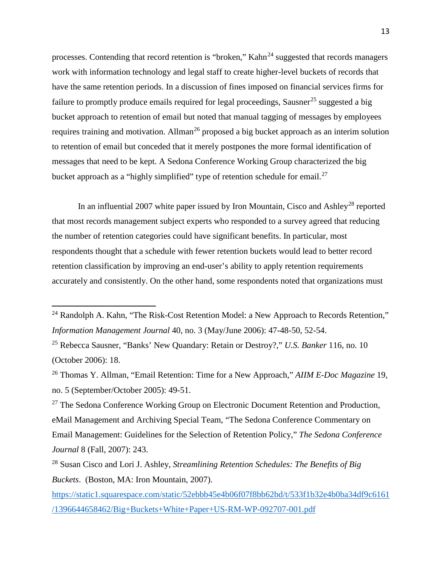processes. Contending that record retention is "broken,"  $Kahn<sup>24</sup>$  $Kahn<sup>24</sup>$  $Kahn<sup>24</sup>$  suggested that records managers work with information technology and legal staff to create higher-level buckets of records that have the same retention periods. In a discussion of fines imposed on financial services firms for failure to promptly produce emails required for legal proceedings, Sausner<sup>[25](#page-14-1)</sup> suggested a big bucket approach to retention of email but noted that manual tagging of messages by employees requires training and motivation. Allman<sup>[26](#page-14-2)</sup> proposed a big bucket approach as an interim solution to retention of email but conceded that it merely postpones the more formal identification of messages that need to be kept. A Sedona Conference Working Group characterized the big bucket approach as a "highly simplified" type of retention schedule for email.<sup>[27](#page-14-3)</sup>

In an influential 2007 white paper issued by Iron Mountain, Cisco and Ashley<sup>[28](#page-14-4)</sup> reported that most records management subject experts who responded to a survey agreed that reducing the number of retention categories could have significant benefits. In particular, most respondents thought that a schedule with fewer retention buckets would lead to better record retention classification by improving an end-user's ability to apply retention requirements accurately and consistently. On the other hand, some respondents noted that organizations must

<span id="page-14-0"></span><sup>&</sup>lt;sup>24</sup> Randolph A. Kahn, "The Risk-Cost Retention Model: a New Approach to Records Retention," *Information Management Journal* 40, no. 3 (May/June 2006): 47-48-50, 52-54.

<span id="page-14-1"></span><sup>25</sup> Rebecca Sausner, "Banks' New Quandary: Retain or Destroy?," *U.S. Banker* 116, no. 10 (October 2006): 18.

<span id="page-14-2"></span><sup>26</sup> Thomas Y. Allman, "Email Retention: Time for a New Approach," *AIIM E-Doc Magazine* 19, no. 5 (September/October 2005): 49-51.

<span id="page-14-3"></span> $27$  The Sedona Conference Working Group on Electronic Document Retention and Production, eMail Management and Archiving Special Team, "The Sedona Conference Commentary on Email Management: Guidelines for the Selection of Retention Policy," *The Sedona Conference Journal* 8 (Fall, 2007): 243.

<span id="page-14-4"></span><sup>28</sup> Susan Cisco and Lori J. Ashley, *Streamlining Retention Schedules: The Benefits of Big Buckets*. (Boston, MA: Iron Mountain, 2007).

[https://static1.squarespace.com/static/52ebbb45e4b06f07f8bb62bd/t/533f1b32e4b0ba34df9c6161](https://static1.squarespace.com/static/52ebbb45e4b06f07f8bb62bd/t/533f1b32e4b0ba34df9c6161/1396644658462/Big+Buckets+White+Paper+US-RM-WP-092707-001.pdf) [/1396644658462/Big+Buckets+White+Paper+US-RM-WP-092707-001.pdf](https://static1.squarespace.com/static/52ebbb45e4b06f07f8bb62bd/t/533f1b32e4b0ba34df9c6161/1396644658462/Big+Buckets+White+Paper+US-RM-WP-092707-001.pdf)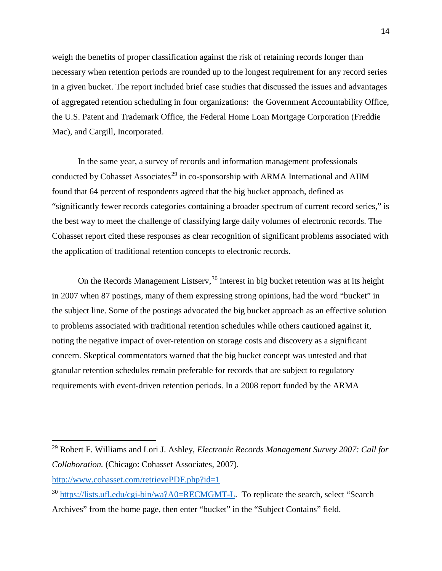weigh the benefits of proper classification against the risk of retaining records longer than necessary when retention periods are rounded up to the longest requirement for any record series in a given bucket. The report included brief case studies that discussed the issues and advantages of aggregated retention scheduling in four organizations: the Government Accountability Office, the U.S. Patent and Trademark Office, the Federal Home Loan Mortgage Corporation (Freddie Mac), and Cargill, Incorporated.

In the same year, a survey of records and information management professionals conducted by Cohasset Associates<sup>[29](#page-15-0)</sup> in co-sponsorship with ARMA International and AIIM found that 64 percent of respondents agreed that the big bucket approach, defined as "significantly fewer records categories containing a broader spectrum of current record series," is the best way to meet the challenge of classifying large daily volumes of electronic records. The Cohasset report cited these responses as clear recognition of significant problems associated with the application of traditional retention concepts to electronic records.

On the Records Management Listserv,  $30$  interest in big bucket retention was at its height in 2007 when 87 postings, many of them expressing strong opinions, had the word "bucket" in the subject line. Some of the postings advocated the big bucket approach as an effective solution to problems associated with traditional retention schedules while others cautioned against it, noting the negative impact of over-retention on storage costs and discovery as a significant concern. Skeptical commentators warned that the big bucket concept was untested and that granular retention schedules remain preferable for records that are subject to regulatory requirements with event-driven retention periods. In a 2008 report funded by the ARMA

<span id="page-15-0"></span><sup>29</sup> Robert F. Williams and Lori J. Ashley, *Electronic Records Management Survey 2007: Call for Collaboration.* (Chicago: Cohasset Associates, 2007).

<http://www.cohasset.com/retrievePDF.php?id=1>

<span id="page-15-1"></span><sup>&</sup>lt;sup>30</sup> [https://lists.ufl.edu/cgi-bin/wa?A0=RECMGMT-L.](https://lists.ufl.edu/cgi-bin/wa?A0=RECMGMT-L) To replicate the search, select "Search Archives" from the home page, then enter "bucket" in the "Subject Contains" field.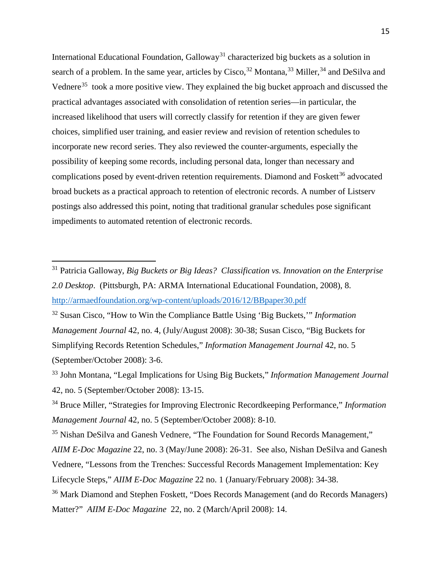International Educational Foundation, Galloway<sup>[31](#page-16-0)</sup> characterized big buckets as a solution in search of a problem. In the same year, articles by Cisco,  $32$  Montana,  $33$  Miller,  $34$  and DeSilva and Vednere<sup>[35](#page-16-4)</sup> took a more positive view. They explained the big bucket approach and discussed the practical advantages associated with consolidation of retention series—in particular, the increased likelihood that users will correctly classify for retention if they are given fewer choices, simplified user training, and easier review and revision of retention schedules to incorporate new record series. They also reviewed the counter-arguments, especially the possibility of keeping some records, including personal data, longer than necessary and complications posed by event-driven retention requirements. Diamond and Foskett<sup>[36](#page-16-5)</sup> advocated broad buckets as a practical approach to retention of electronic records. A number of Listserv postings also addressed this point, noting that traditional granular schedules pose significant impediments to automated retention of electronic records.

<span id="page-16-0"></span><sup>31</sup> Patricia Galloway, *Big Buckets or Big Ideas? Classification vs. Innovation on the Enterprise 2.0 Desktop*. (Pittsburgh, PA: ARMA International Educational Foundation, 2008), 8. <http://armaedfoundation.org/wp-content/uploads/2016/12/BBpaper30.pdf>

<span id="page-16-1"></span><sup>32</sup> Susan Cisco, "How to Win the Compliance Battle Using 'Big Buckets,'" *Information Management Journal* 42, no. 4, (July/August 2008): 30-38; Susan Cisco, "Big Buckets for Simplifying Records Retention Schedules," *Information Management Journal* 42, no. 5 (September/October 2008): 3-6.

<span id="page-16-2"></span><sup>33</sup> John Montana, "Legal Implications for Using Big Buckets," *Information Management Journal* 42, no. 5 (September/October 2008): 13-15.

<span id="page-16-3"></span><sup>34</sup> Bruce Miller, "Strategies for Improving Electronic Recordkeeping Performance," *Information Management Journal* 42, no. 5 (September/October 2008): 8-10.

<span id="page-16-4"></span><sup>&</sup>lt;sup>35</sup> Nishan DeSilva and Ganesh Vednere, "The Foundation for Sound Records Management," *AIIM E-Doc Magazine* 22, no. 3 (May/June 2008): 26-31. See also, Nishan DeSilva and Ganesh Vednere, "Lessons from the Trenches: Successful Records Management Implementation: Key Lifecycle Steps," *AIIM E-Doc Magazine* 22 no. 1 (January/February 2008): 34-38. <sup>36</sup> Mark Diamond and Stephen Foskett, "Does Records Management (and do Records Managers)

<span id="page-16-5"></span>Matter?" *AIIM E-Doc Magazine* 22, no. 2 (March/April 2008): 14.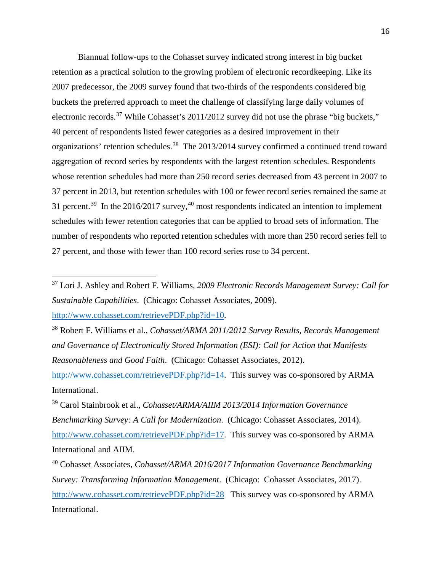Biannual follow-ups to the Cohasset survey indicated strong interest in big bucket retention as a practical solution to the growing problem of electronic recordkeeping. Like its 2007 predecessor, the 2009 survey found that two-thirds of the respondents considered big buckets the preferred approach to meet the challenge of classifying large daily volumes of electronic records.<sup>[37](#page-17-0)</sup> While Cohasset's 2011/2012 survey did not use the phrase "big buckets," 40 percent of respondents listed fewer categories as a desired improvement in their organizations' retention schedules.<sup>[38](#page-17-1)</sup> The 2013/2014 survey confirmed a continued trend toward aggregation of record series by respondents with the largest retention schedules. Respondents whose retention schedules had more than 250 record series decreased from 43 percent in 2007 to 37 percent in 2013, but retention schedules with 100 or fewer record series remained the same at 31 percent.<sup>[39](#page-17-2)</sup> In the 2016/2017 survey,<sup>[40](#page-17-3)</sup> most respondents indicated an intention to implement schedules with fewer retention categories that can be applied to broad sets of information. The number of respondents who reported retention schedules with more than 250 record series fell to 27 percent, and those with fewer than 100 record series rose to 34 percent.

<span id="page-17-0"></span><sup>37</sup> Lori J. Ashley and Robert F. Williams, *2009 Electronic Records Management Survey: Call for Sustainable Capabilities*. (Chicago: Cohasset Associates, 2009). [http://www.cohasset.com/retrievePDF.php?id=10.](http://www.cohasset.com/retrievePDF.php?id=10)

<span id="page-17-1"></span><sup>38</sup> Robert F. Williams et al., *Cohasset/ARMA 2011/2012 Survey Results, Records Management and Governance of Electronically Stored Information (ESI): Call for Action that Manifests Reasonableness and Good Faith*. (Chicago: Cohasset Associates, 2012).

[http://www.cohasset.com/retrievePDF.php?id=14.](http://www.cohasset.com/retrievePDF.php?id=14) This survey was co-sponsored by ARMA International.

<span id="page-17-2"></span><sup>39</sup> Carol Stainbrook et al., *Cohasset/ARMA/AIIM 2013/2014 Information Governance Benchmarking Survey: A Call for Modernization*. (Chicago: Cohasset Associates, 2014). [http://www.cohasset.com/retrievePDF.php?id=17.](http://www.cohasset.com/retrievePDF.php?id=17) This survey was co-sponsored by ARMA International and AIIM.

<span id="page-17-3"></span><sup>40</sup> Cohasset Associates, *Cohasset/ARMA 2016/2017 Information Governance Benchmarking Survey: Transforming Information Management*. (Chicago: Cohasset Associates, 2017). <http://www.cohasset.com/retrievePDF.php?id=28>This survey was co-sponsored by ARMA International.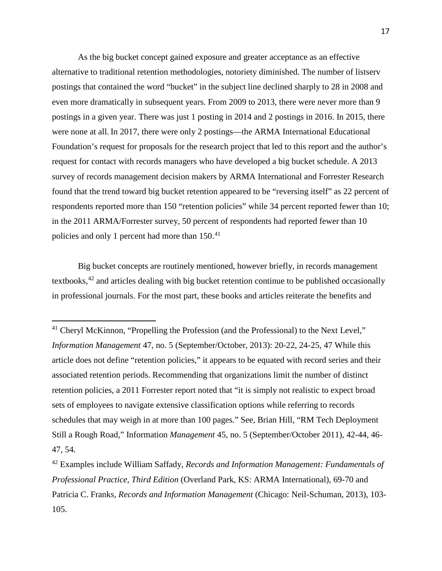As the big bucket concept gained exposure and greater acceptance as an effective alternative to traditional retention methodologies, notoriety diminished. The number of listserv postings that contained the word "bucket" in the subject line declined sharply to 28 in 2008 and even more dramatically in subsequent years. From 2009 to 2013, there were never more than 9 postings in a given year. There was just 1 posting in 2014 and 2 postings in 2016. In 2015, there were none at all. In 2017, there were only 2 postings—the ARMA International Educational Foundation's request for proposals for the research project that led to this report and the author's request for contact with records managers who have developed a big bucket schedule. A 2013 survey of records management decision makers by ARMA International and Forrester Research found that the trend toward big bucket retention appeared to be "reversing itself" as 22 percent of respondents reported more than 150 "retention policies" while 34 percent reported fewer than 10; in the 2011 ARMA/Forrester survey, 50 percent of respondents had reported fewer than 10 policies and only 1 percent had more than 150.<sup>41</sup>

Big bucket concepts are routinely mentioned, however briefly, in records management textbooks, $42$  and articles dealing with big bucket retention continue to be published occasionally in professional journals. For the most part, these books and articles reiterate the benefits and

<span id="page-18-0"></span><sup>&</sup>lt;sup>41</sup> Cheryl McKinnon, "Propelling the Profession (and the Professional) to the Next Level," *Information Management* 47, no. 5 (September/October, 2013): 20-22, 24-25, 47 While this article does not define "retention policies," it appears to be equated with record series and their associated retention periods. Recommending that organizations limit the number of distinct retention policies, a 2011 Forrester report noted that "it is simply not realistic to expect broad sets of employees to navigate extensive classification options while referring to records schedules that may weigh in at more than 100 pages." See, Brian Hill, "RM Tech Deployment Still a Rough Road," Information *Management* 45, no. 5 (September/October 2011), 42-44, 46- 47, 54.

<span id="page-18-1"></span><sup>42</sup> Examples include William Saffady, *Records and Information Management: Fundamentals of Professional Practice, Third Edition* (Overland Park, KS: ARMA International), 69-70 and Patricia C. Franks, *Records and Information Management* (Chicago: Neil-Schuman, 2013), 103- 105.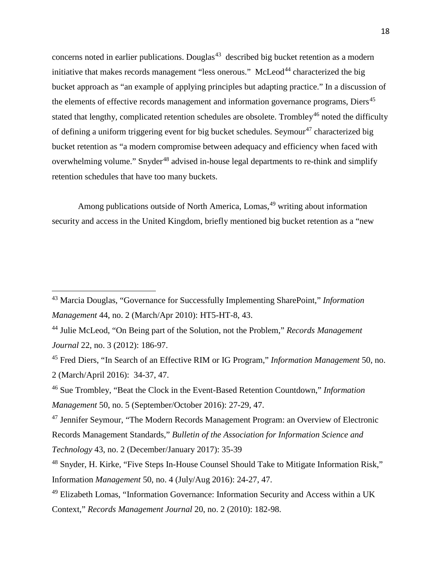concerns noted in earlier publications. Douglas<sup>43</sup> described big bucket retention as a modern initiative that makes records management "less onerous." McLeod<sup>[44](#page-19-1)</sup> characterized the big bucket approach as "an example of applying principles but adapting practice." In a discussion of the elements of effective records management and information governance programs, Diers<sup>[45](#page-19-2)</sup> stated that lengthy, complicated retention schedules are obsolete. Trombley<sup>[46](#page-19-3)</sup> noted the difficulty of defining a uniform triggering event for big bucket schedules. Seymour<sup>[47](#page-19-4)</sup> characterized big bucket retention as "a modern compromise between adequacy and efficiency when faced with overwhelming volume." Snyder<sup>[48](#page-19-5)</sup> advised in-house legal departments to re-think and simplify retention schedules that have too many buckets.

Among publications outside of North America, Lomas,<sup>[49](#page-19-6)</sup> writing about information security and access in the United Kingdom, briefly mentioned big bucket retention as a "new

<span id="page-19-0"></span><sup>43</sup> Marcia Douglas, "Governance for Successfully Implementing SharePoint," *Information Management* 44, no. 2 (March/Apr 2010): HT5-HT-8, 43.

<span id="page-19-1"></span><sup>44</sup> Julie McLeod, "On Being part of the Solution, not the Problem," *Records Management Journal* 22, no. 3 (2012): 186-97.

<span id="page-19-2"></span><sup>45</sup> Fred Diers, "In Search of an Effective RIM or IG Program," *Information Management* 50, no. 2 (March/April 2016): 34-37, 47.

<span id="page-19-3"></span><sup>46</sup> Sue Trombley, "Beat the Clock in the Event-Based Retention Countdown," *Information Management* 50, no. 5 (September/October 2016): 27-29, 47.

<span id="page-19-4"></span><sup>47</sup> Jennifer Seymour, "The Modern Records Management Program: an Overview of Electronic Records Management Standards," *Bulletin of the Association for Information Science and Technology* 43, no. 2 (December/January 2017): 35-39

<span id="page-19-5"></span><sup>48</sup> Snyder, H. Kirke, "Five Steps In-House Counsel Should Take to Mitigate Information Risk," Information *Management* 50, no. 4 (July/Aug 2016): 24-27, 47.

<span id="page-19-6"></span><sup>49</sup> Elizabeth Lomas, "Information Governance: Information Security and Access within a UK Context," *Records Management Journal* 20, no. 2 (2010): 182-98.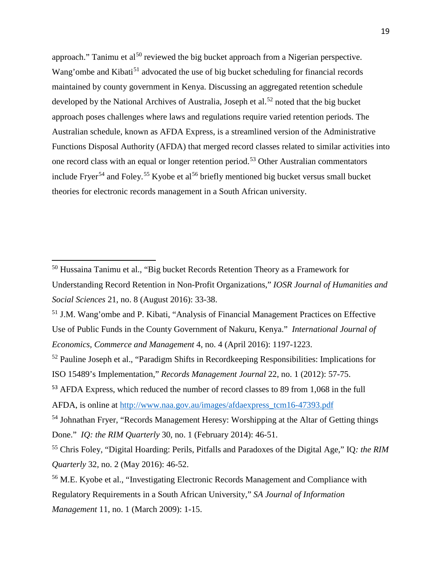approach." Tanimu et al<sup>[50](#page-20-0)</sup> reviewed the big bucket approach from a Nigerian perspective. Wang'ombe and Kibati<sup>[51](#page-20-1)</sup> advocated the use of big bucket scheduling for financial records maintained by county government in Kenya. Discussing an aggregated retention schedule developed by the National Archives of Australia, Joseph et al.<sup>[52](#page-20-2)</sup> noted that the big bucket approach poses challenges where laws and regulations require varied retention periods. The Australian schedule, known as AFDA Express, is a streamlined version of the Administrative Functions Disposal Authority (AFDA) that merged record classes related to similar activities into one record class with an equal or longer retention period.[53](#page-20-3) Other Australian commentators include Fryer<sup>[54](#page-20-4)</sup> and Foley.<sup>[55](#page-20-5)</sup> Kyobe et al<sup>[56](#page-20-6)</sup> briefly mentioned big bucket versus small bucket theories for electronic records management in a South African university.

<span id="page-20-0"></span><sup>50</sup> Hussaina Tanimu et al., "Big bucket Records Retention Theory as a Framework for Understanding Record Retention in Non-Profit Organizations," *IOSR Journal of Humanities and Social Sciences* 21, no. 8 (August 2016): 33-38.

<span id="page-20-1"></span><sup>51</sup> J.M. Wang'ombe and P. Kibati, "Analysis of Financial Management Practices on Effective Use of Public Funds in the County Government of Nakuru, Kenya." *International Journal of Economics, Commerce and Management* 4, no. 4 (April 2016): 1197-1223.

<span id="page-20-2"></span><sup>&</sup>lt;sup>52</sup> Pauline Joseph et al., "Paradigm Shifts in Recordkeeping Responsibilities: Implications for ISO 15489's Implementation," *Records Management Journal* 22, no. 1 (2012): 57-75.

<span id="page-20-3"></span><sup>53</sup> AFDA Express, which reduced the number of record classes to 89 from 1,068 in the full

AFDA, is online at [http://www.naa.gov.au/images/afdaexpress\\_tcm16-47393.pdf](http://www.naa.gov.au/images/afdaexpress_tcm16-47393.pdf)

<span id="page-20-4"></span><sup>&</sup>lt;sup>54</sup> Johnathan Fryer, "Records Management Heresy: Worshipping at the Altar of Getting things Done." *IQ: the RIM Quarterly* 30, no. 1 (February 2014): 46-51.

<span id="page-20-5"></span><sup>55</sup> Chris Foley, "Digital Hoarding: Perils, Pitfalls and Paradoxes of the Digital Age," IQ*: the RIM Quarterly* 32, no. 2 (May 2016): 46-52.

<span id="page-20-6"></span><sup>56</sup> M.E. Kyobe et al., "Investigating Electronic Records Management and Compliance with Regulatory Requirements in a South African University," *SA Journal of Information Management* 11, no. 1 (March 2009): 1-15.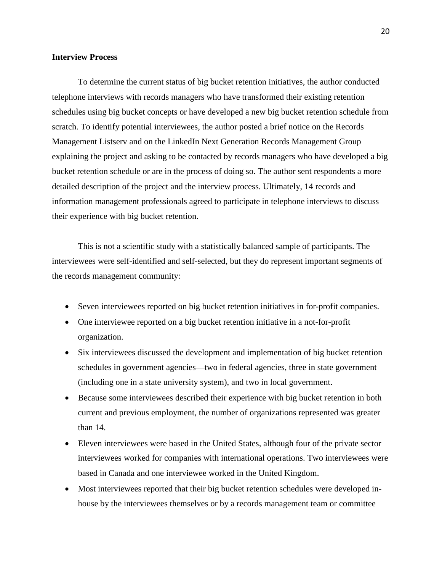#### **Interview Process**

To determine the current status of big bucket retention initiatives, the author conducted telephone interviews with records managers who have transformed their existing retention schedules using big bucket concepts or have developed a new big bucket retention schedule from scratch. To identify potential interviewees, the author posted a brief notice on the Records Management Listserv and on the LinkedIn Next Generation Records Management Group explaining the project and asking to be contacted by records managers who have developed a big bucket retention schedule or are in the process of doing so. The author sent respondents a more detailed description of the project and the interview process. Ultimately, 14 records and information management professionals agreed to participate in telephone interviews to discuss their experience with big bucket retention.

This is not a scientific study with a statistically balanced sample of participants. The interviewees were self-identified and self-selected, but they do represent important segments of the records management community:

- Seven interviewees reported on big bucket retention initiatives in for-profit companies.
- One interviewee reported on a big bucket retention initiative in a not-for-profit organization.
- Six interviewees discussed the development and implementation of big bucket retention schedules in government agencies—two in federal agencies, three in state government (including one in a state university system), and two in local government.
- Because some interviewees described their experience with big bucket retention in both current and previous employment, the number of organizations represented was greater than 14.
- Eleven interviewees were based in the United States, although four of the private sector interviewees worked for companies with international operations. Two interviewees were based in Canada and one interviewee worked in the United Kingdom.
- Most interviewees reported that their big bucket retention schedules were developed inhouse by the interviewees themselves or by a records management team or committee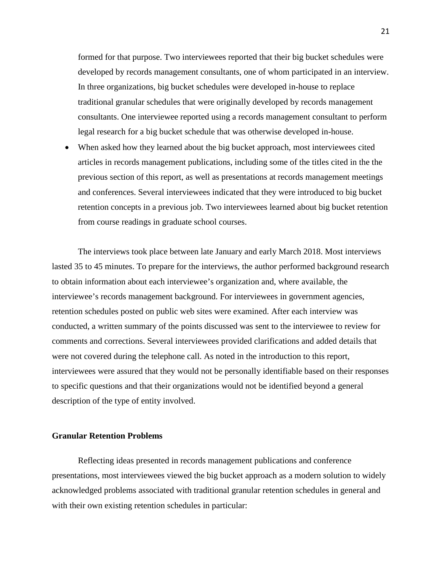formed for that purpose. Two interviewees reported that their big bucket schedules were developed by records management consultants, one of whom participated in an interview. In three organizations, big bucket schedules were developed in-house to replace traditional granular schedules that were originally developed by records management consultants. One interviewee reported using a records management consultant to perform legal research for a big bucket schedule that was otherwise developed in-house.

• When asked how they learned about the big bucket approach, most interviewees cited articles in records management publications, including some of the titles cited in the the previous section of this report, as well as presentations at records management meetings and conferences. Several interviewees indicated that they were introduced to big bucket retention concepts in a previous job. Two interviewees learned about big bucket retention from course readings in graduate school courses.

The interviews took place between late January and early March 2018. Most interviews lasted 35 to 45 minutes. To prepare for the interviews, the author performed background research to obtain information about each interviewee's organization and, where available, the interviewee's records management background. For interviewees in government agencies, retention schedules posted on public web sites were examined. After each interview was conducted, a written summary of the points discussed was sent to the interviewee to review for comments and corrections. Several interviewees provided clarifications and added details that were not covered during the telephone call. As noted in the introduction to this report, interviewees were assured that they would not be personally identifiable based on their responses to specific questions and that their organizations would not be identified beyond a general description of the type of entity involved.

#### **Granular Retention Problems**

Reflecting ideas presented in records management publications and conference presentations, most interviewees viewed the big bucket approach as a modern solution to widely acknowledged problems associated with traditional granular retention schedules in general and with their own existing retention schedules in particular: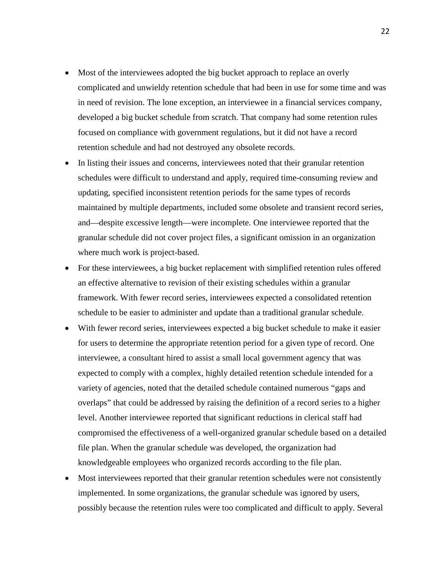- Most of the interviewees adopted the big bucket approach to replace an overly complicated and unwieldy retention schedule that had been in use for some time and was in need of revision. The lone exception, an interviewee in a financial services company, developed a big bucket schedule from scratch. That company had some retention rules focused on compliance with government regulations, but it did not have a record retention schedule and had not destroyed any obsolete records.
- In listing their issues and concerns, interviewees noted that their granular retention schedules were difficult to understand and apply, required time-consuming review and updating, specified inconsistent retention periods for the same types of records maintained by multiple departments, included some obsolete and transient record series, and—despite excessive length—were incomplete. One interviewee reported that the granular schedule did not cover project files, a significant omission in an organization where much work is project-based.
- For these interviewees, a big bucket replacement with simplified retention rules offered an effective alternative to revision of their existing schedules within a granular framework. With fewer record series, interviewees expected a consolidated retention schedule to be easier to administer and update than a traditional granular schedule.
- With fewer record series, interviewees expected a big bucket schedule to make it easier for users to determine the appropriate retention period for a given type of record. One interviewee, a consultant hired to assist a small local government agency that was expected to comply with a complex, highly detailed retention schedule intended for a variety of agencies, noted that the detailed schedule contained numerous "gaps and overlaps" that could be addressed by raising the definition of a record series to a higher level. Another interviewee reported that significant reductions in clerical staff had compromised the effectiveness of a well-organized granular schedule based on a detailed file plan. When the granular schedule was developed, the organization had knowledgeable employees who organized records according to the file plan.
- Most interviewees reported that their granular retention schedules were not consistently implemented. In some organizations, the granular schedule was ignored by users, possibly because the retention rules were too complicated and difficult to apply. Several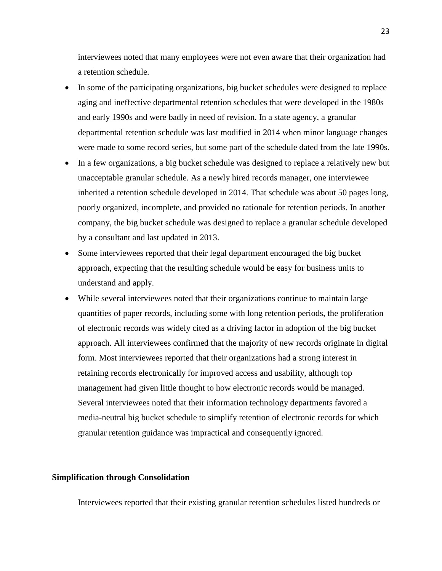interviewees noted that many employees were not even aware that their organization had a retention schedule.

- In some of the participating organizations, big bucket schedules were designed to replace aging and ineffective departmental retention schedules that were developed in the 1980s and early 1990s and were badly in need of revision. In a state agency, a granular departmental retention schedule was last modified in 2014 when minor language changes were made to some record series, but some part of the schedule dated from the late 1990s.
- In a few organizations, a big bucket schedule was designed to replace a relatively new but unacceptable granular schedule. As a newly hired records manager, one interviewee inherited a retention schedule developed in 2014. That schedule was about 50 pages long, poorly organized, incomplete, and provided no rationale for retention periods. In another company, the big bucket schedule was designed to replace a granular schedule developed by a consultant and last updated in 2013.
- Some interviewees reported that their legal department encouraged the big bucket approach, expecting that the resulting schedule would be easy for business units to understand and apply.
- While several interviewees noted that their organizations continue to maintain large quantities of paper records, including some with long retention periods, the proliferation of electronic records was widely cited as a driving factor in adoption of the big bucket approach. All interviewees confirmed that the majority of new records originate in digital form. Most interviewees reported that their organizations had a strong interest in retaining records electronically for improved access and usability, although top management had given little thought to how electronic records would be managed. Several interviewees noted that their information technology departments favored a media-neutral big bucket schedule to simplify retention of electronic records for which granular retention guidance was impractical and consequently ignored.

#### **Simplification through Consolidation**

Interviewees reported that their existing granular retention schedules listed hundreds or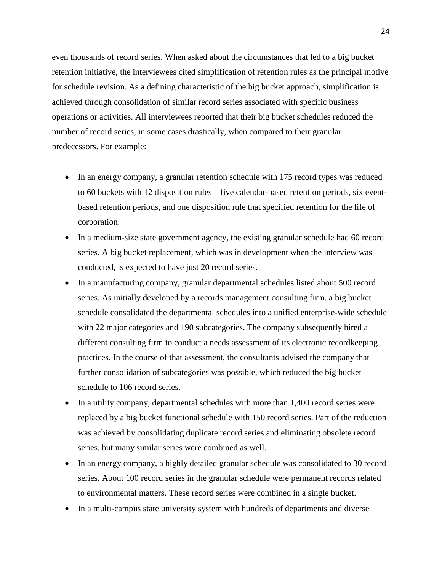even thousands of record series. When asked about the circumstances that led to a big bucket retention initiative, the interviewees cited simplification of retention rules as the principal motive for schedule revision. As a defining characteristic of the big bucket approach, simplification is achieved through consolidation of similar record series associated with specific business operations or activities. All interviewees reported that their big bucket schedules reduced the number of record series, in some cases drastically, when compared to their granular predecessors. For example:

- In an energy company, a granular retention schedule with 175 record types was reduced to 60 buckets with 12 disposition rules—five calendar-based retention periods, six eventbased retention periods, and one disposition rule that specified retention for the life of corporation.
- In a medium-size state government agency, the existing granular schedule had 60 record series. A big bucket replacement, which was in development when the interview was conducted, is expected to have just 20 record series.
- In a manufacturing company, granular departmental schedules listed about 500 record series. As initially developed by a records management consulting firm, a big bucket schedule consolidated the departmental schedules into a unified enterprise-wide schedule with 22 major categories and 190 subcategories. The company subsequently hired a different consulting firm to conduct a needs assessment of its electronic recordkeeping practices. In the course of that assessment, the consultants advised the company that further consolidation of subcategories was possible, which reduced the big bucket schedule to 106 record series.
- In a utility company, departmental schedules with more than 1,400 record series were replaced by a big bucket functional schedule with 150 record series. Part of the reduction was achieved by consolidating duplicate record series and eliminating obsolete record series, but many similar series were combined as well.
- In an energy company, a highly detailed granular schedule was consolidated to 30 record series. About 100 record series in the granular schedule were permanent records related to environmental matters. These record series were combined in a single bucket.
- In a multi-campus state university system with hundreds of departments and diverse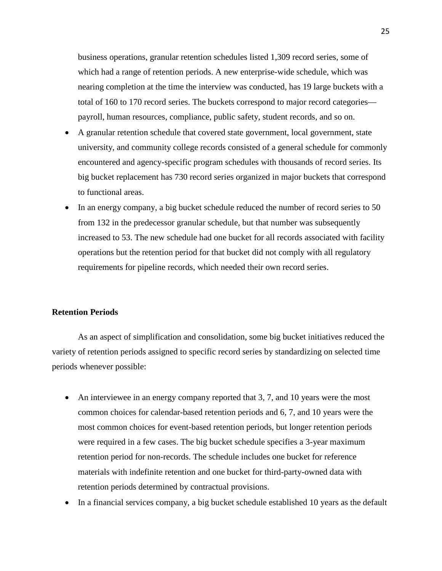business operations, granular retention schedules listed 1,309 record series, some of which had a range of retention periods. A new enterprise-wide schedule, which was nearing completion at the time the interview was conducted, has 19 large buckets with a total of 160 to 170 record series. The buckets correspond to major record categories payroll, human resources, compliance, public safety, student records, and so on.

- A granular retention schedule that covered state government, local government, state university, and community college records consisted of a general schedule for commonly encountered and agency-specific program schedules with thousands of record series. Its big bucket replacement has 730 record series organized in major buckets that correspond to functional areas.
- In an energy company, a big bucket schedule reduced the number of record series to 50 from 132 in the predecessor granular schedule, but that number was subsequently increased to 53. The new schedule had one bucket for all records associated with facility operations but the retention period for that bucket did not comply with all regulatory requirements for pipeline records, which needed their own record series.

#### **Retention Periods**

As an aspect of simplification and consolidation, some big bucket initiatives reduced the variety of retention periods assigned to specific record series by standardizing on selected time periods whenever possible:

- An interviewee in an energy company reported that 3, 7, and 10 years were the most common choices for calendar-based retention periods and 6, 7, and 10 years were the most common choices for event-based retention periods, but longer retention periods were required in a few cases. The big bucket schedule specifies a 3-year maximum retention period for non-records. The schedule includes one bucket for reference materials with indefinite retention and one bucket for third-party-owned data with retention periods determined by contractual provisions.
- In a financial services company, a big bucket schedule established 10 years as the default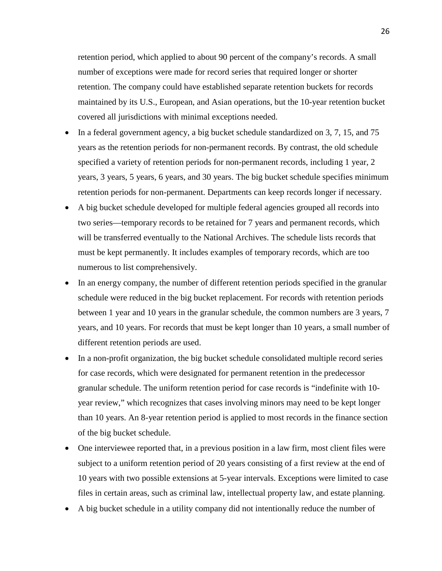retention period, which applied to about 90 percent of the company's records. A small number of exceptions were made for record series that required longer or shorter retention. The company could have established separate retention buckets for records maintained by its U.S., European, and Asian operations, but the 10-year retention bucket covered all jurisdictions with minimal exceptions needed.

- In a federal government agency, a big bucket schedule standardized on 3, 7, 15, and 75 years as the retention periods for non-permanent records. By contrast, the old schedule specified a variety of retention periods for non-permanent records, including 1 year, 2 years, 3 years, 5 years, 6 years, and 30 years. The big bucket schedule specifies minimum retention periods for non-permanent. Departments can keep records longer if necessary.
- A big bucket schedule developed for multiple federal agencies grouped all records into two series—temporary records to be retained for 7 years and permanent records, which will be transferred eventually to the National Archives. The schedule lists records that must be kept permanently. It includes examples of temporary records, which are too numerous to list comprehensively.
- In an energy company, the number of different retention periods specified in the granular schedule were reduced in the big bucket replacement. For records with retention periods between 1 year and 10 years in the granular schedule, the common numbers are 3 years, 7 years, and 10 years. For records that must be kept longer than 10 years, a small number of different retention periods are used.
- In a non-profit organization, the big bucket schedule consolidated multiple record series for case records, which were designated for permanent retention in the predecessor granular schedule. The uniform retention period for case records is "indefinite with 10 year review," which recognizes that cases involving minors may need to be kept longer than 10 years. An 8-year retention period is applied to most records in the finance section of the big bucket schedule.
- One interviewee reported that, in a previous position in a law firm, most client files were subject to a uniform retention period of 20 years consisting of a first review at the end of 10 years with two possible extensions at 5-year intervals. Exceptions were limited to case files in certain areas, such as criminal law, intellectual property law, and estate planning.
- A big bucket schedule in a utility company did not intentionally reduce the number of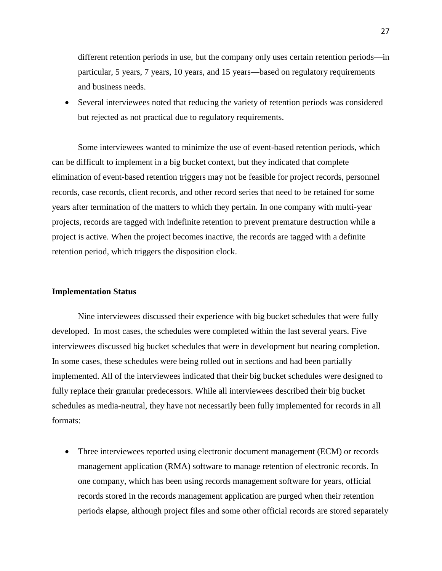different retention periods in use, but the company only uses certain retention periods—in particular, 5 years, 7 years, 10 years, and 15 years—based on regulatory requirements and business needs.

• Several interviewees noted that reducing the variety of retention periods was considered but rejected as not practical due to regulatory requirements.

Some interviewees wanted to minimize the use of event-based retention periods, which can be difficult to implement in a big bucket context, but they indicated that complete elimination of event-based retention triggers may not be feasible for project records, personnel records, case records, client records, and other record series that need to be retained for some years after termination of the matters to which they pertain. In one company with multi-year projects, records are tagged with indefinite retention to prevent premature destruction while a project is active. When the project becomes inactive, the records are tagged with a definite retention period, which triggers the disposition clock.

#### **Implementation Status**

Nine interviewees discussed their experience with big bucket schedules that were fully developed. In most cases, the schedules were completed within the last several years. Five interviewees discussed big bucket schedules that were in development but nearing completion. In some cases, these schedules were being rolled out in sections and had been partially implemented. All of the interviewees indicated that their big bucket schedules were designed to fully replace their granular predecessors. While all interviewees described their big bucket schedules as media-neutral, they have not necessarily been fully implemented for records in all formats:

• Three interviewees reported using electronic document management (ECM) or records management application (RMA) software to manage retention of electronic records. In one company, which has been using records management software for years, official records stored in the records management application are purged when their retention periods elapse, although project files and some other official records are stored separately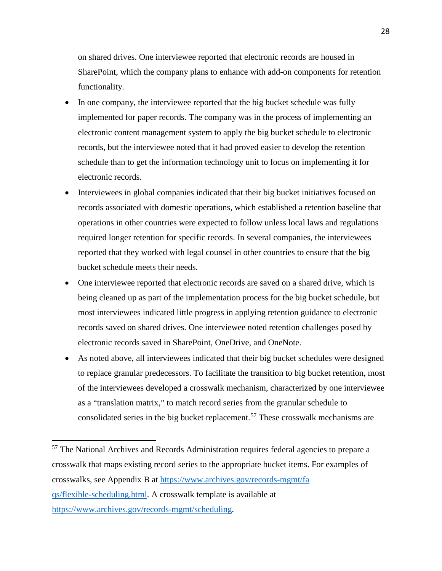on shared drives. One interviewee reported that electronic records are housed in SharePoint, which the company plans to enhance with add-on components for retention functionality.

- In one company, the interviewee reported that the big bucket schedule was fully implemented for paper records. The company was in the process of implementing an electronic content management system to apply the big bucket schedule to electronic records, but the interviewee noted that it had proved easier to develop the retention schedule than to get the information technology unit to focus on implementing it for electronic records.
- Interviewees in global companies indicated that their big bucket initiatives focused on records associated with domestic operations, which established a retention baseline that operations in other countries were expected to follow unless local laws and regulations required longer retention for specific records. In several companies, the interviewees reported that they worked with legal counsel in other countries to ensure that the big bucket schedule meets their needs.
- One interviewee reported that electronic records are saved on a shared drive, which is being cleaned up as part of the implementation process for the big bucket schedule, but most interviewees indicated little progress in applying retention guidance to electronic records saved on shared drives. One interviewee noted retention challenges posed by electronic records saved in SharePoint, OneDrive, and OneNote.
- As noted above, all interviewees indicated that their big bucket schedules were designed to replace granular predecessors. To facilitate the transition to big bucket retention, most of the interviewees developed a crosswalk mechanism, characterized by one interviewee as a "translation matrix," to match record series from the granular schedule to consolidated series in the big bucket replacement.<sup>[57](#page-29-0)</sup> These crosswalk mechanisms are

<span id="page-29-0"></span><sup>57</sup> The National Archives and Records Administration requires federal agencies to prepare a crosswalk that maps existing record series to the appropriate bucket items. For examples of crosswalks, see Appendix B at [https://www.archives.gov/records-mgmt/fa](https://www.archives.gov/records-mgmt/faqs/flexible-scheduling.html) [qs/flexible-scheduling.html.](https://www.archives.gov/records-mgmt/faqs/flexible-scheduling.html) A crosswalk template is available at [https://www.archives.gov/records-mgmt/scheduling.](https://www.archives.gov/records-mgmt/scheduling)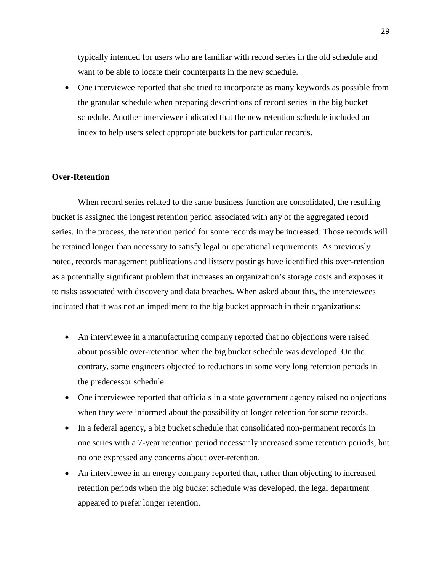typically intended for users who are familiar with record series in the old schedule and want to be able to locate their counterparts in the new schedule.

• One interviewee reported that she tried to incorporate as many keywords as possible from the granular schedule when preparing descriptions of record series in the big bucket schedule. Another interviewee indicated that the new retention schedule included an index to help users select appropriate buckets for particular records.

#### **Over-Retention**

When record series related to the same business function are consolidated, the resulting bucket is assigned the longest retention period associated with any of the aggregated record series. In the process, the retention period for some records may be increased. Those records will be retained longer than necessary to satisfy legal or operational requirements. As previously noted, records management publications and listserv postings have identified this over-retention as a potentially significant problem that increases an organization's storage costs and exposes it to risks associated with discovery and data breaches. When asked about this, the interviewees indicated that it was not an impediment to the big bucket approach in their organizations:

- An interviewee in a manufacturing company reported that no objections were raised about possible over-retention when the big bucket schedule was developed. On the contrary, some engineers objected to reductions in some very long retention periods in the predecessor schedule.
- One interviewee reported that officials in a state government agency raised no objections when they were informed about the possibility of longer retention for some records.
- In a federal agency, a big bucket schedule that consolidated non-permanent records in one series with a 7-year retention period necessarily increased some retention periods, but no one expressed any concerns about over-retention.
- An interviewee in an energy company reported that, rather than objecting to increased retention periods when the big bucket schedule was developed, the legal department appeared to prefer longer retention.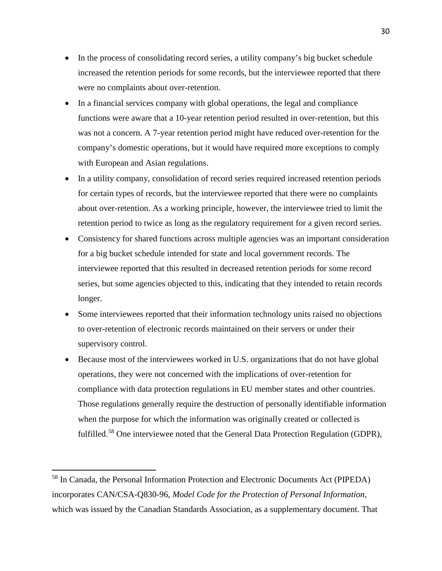- In the process of consolidating record series, a utility company's big bucket schedule increased the retention periods for some records, but the interviewee reported that there were no complaints about over-retention.
- In a financial services company with global operations, the legal and compliance functions were aware that a 10-year retention period resulted in over-retention, but this was not a concern. A 7-year retention period might have reduced over-retention for the company's domestic operations, but it would have required more exceptions to comply with European and Asian regulations.
- In a utility company, consolidation of record series required increased retention periods for certain types of records, but the interviewee reported that there were no complaints about over-retention. As a working principle, however, the interviewee tried to limit the retention period to twice as long as the regulatory requirement for a given record series.
- Consistency for shared functions across multiple agencies was an important consideration for a big bucket schedule intended for state and local government records. The interviewee reported that this resulted in decreased retention periods for some record series, but some agencies objected to this, indicating that they intended to retain records longer.
- Some interviewees reported that their information technology units raised no objections to over-retention of electronic records maintained on their servers or under their supervisory control.
- Because most of the interviewees worked in U.S. organizations that do not have global operations, they were not concerned with the implications of over-retention for compliance with data protection regulations in EU member states and other countries. Those regulations generally require the destruction of personally identifiable information when the purpose for which the information was originally created or collected is fulfilled.<sup>[58](#page-31-0)</sup> One interviewee noted that the General Data Protection Regulation (GDPR),

<span id="page-31-0"></span><sup>58</sup> In Canada, the Personal Information Protection and Electronic Documents Act (PIPEDA) incorporates CAN/CSA-Q830-96, *Model Code for the Protection of Personal Information*, which was issued by the Canadian Standards Association, as a supplementary document. That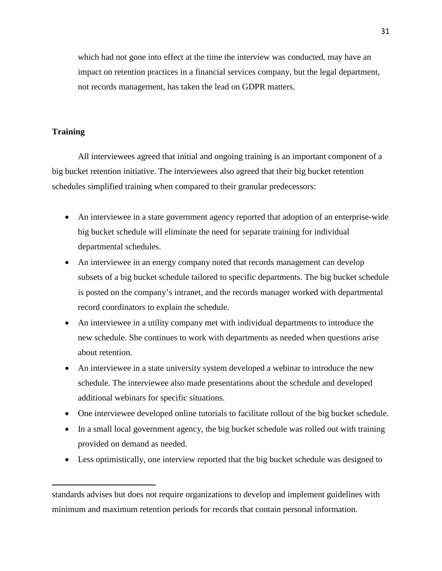which had not gone into effect at the time the interview was conducted, may have an impact on retention practices in a financial services company, but the legal department, not records management, has taken the lead on GDPR matters.

#### **Training**

 $\overline{a}$ 

All interviewees agreed that initial and ongoing training is an important component of a big bucket retention initiative. The interviewees also agreed that their big bucket retention schedules simplified training when compared to their granular predecessors:

- An interviewee in a state government agency reported that adoption of an enterprise-wide big bucket schedule will eliminate the need for separate training for individual departmental schedules.
- An interviewee in an energy company noted that records management can develop subsets of a big bucket schedule tailored to specific departments. The big bucket schedule is posted on the company's intranet, and the records manager worked with departmental record coordinators to explain the schedule.
- An interviewee in a utility company met with individual departments to introduce the new schedule. She continues to work with departments as needed when questions arise about retention.
- An interviewee in a state university system developed a webinar to introduce the new schedule. The interviewee also made presentations about the schedule and developed additional webinars for specific situations.
- One interviewee developed online tutorials to facilitate rollout of the big bucket schedule.
- In a small local government agency, the big bucket schedule was rolled out with training provided on demand as needed.
- Less optimistically, one interview reported that the big bucket schedule was designed to

standards advises but does not require organizations to develop and implement guidelines with minimum and maximum retention periods for records that contain personal information.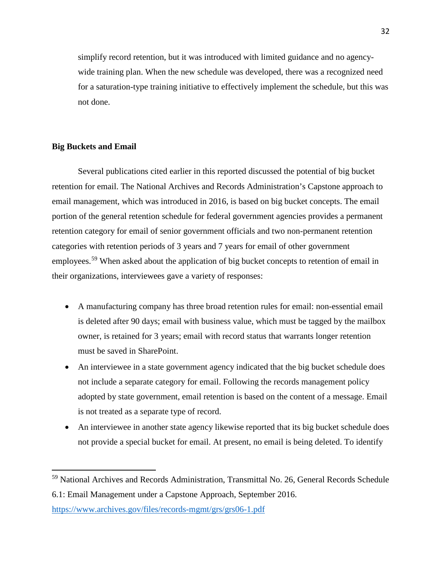simplify record retention, but it was introduced with limited guidance and no agencywide training plan. When the new schedule was developed, there was a recognized need for a saturation-type training initiative to effectively implement the schedule, but this was not done.

#### **Big Buckets and Email**

 $\overline{a}$ 

Several publications cited earlier in this reported discussed the potential of big bucket retention for email. The National Archives and Records Administration's Capstone approach to email management, which was introduced in 2016, is based on big bucket concepts. The email portion of the general retention schedule for federal government agencies provides a permanent retention category for email of senior government officials and two non-permanent retention categories with retention periods of 3 years and 7 years for email of other government employees.<sup>[59](#page-33-0)</sup> When asked about the application of big bucket concepts to retention of email in their organizations, interviewees gave a variety of responses:

- A manufacturing company has three broad retention rules for email: non-essential email is deleted after 90 days; email with business value, which must be tagged by the mailbox owner, is retained for 3 years; email with record status that warrants longer retention must be saved in SharePoint.
- An interviewee in a state government agency indicated that the big bucket schedule does not include a separate category for email. Following the records management policy adopted by state government, email retention is based on the content of a message. Email is not treated as a separate type of record.
- An interviewee in another state agency likewise reported that its big bucket schedule does not provide a special bucket for email. At present, no email is being deleted. To identify

<span id="page-33-0"></span><sup>&</sup>lt;sup>59</sup> National Archives and Records Administration, Transmittal No. 26, General Records Schedule 6.1: Email Management under a Capstone Approach, September 2016.

<https://www.archives.gov/files/records-mgmt/grs/grs06-1.pdf>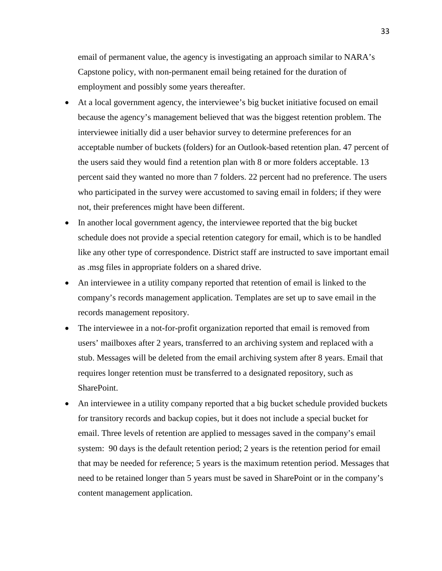email of permanent value, the agency is investigating an approach similar to NARA's Capstone policy, with non-permanent email being retained for the duration of employment and possibly some years thereafter.

- At a local government agency, the interviewee's big bucket initiative focused on email because the agency's management believed that was the biggest retention problem. The interviewee initially did a user behavior survey to determine preferences for an acceptable number of buckets (folders) for an Outlook-based retention plan. 47 percent of the users said they would find a retention plan with 8 or more folders acceptable. 13 percent said they wanted no more than 7 folders. 22 percent had no preference. The users who participated in the survey were accustomed to saving email in folders; if they were not, their preferences might have been different.
- In another local government agency, the interviewee reported that the big bucket schedule does not provide a special retention category for email, which is to be handled like any other type of correspondence. District staff are instructed to save important email as .msg files in appropriate folders on a shared drive.
- An interviewee in a utility company reported that retention of email is linked to the company's records management application. Templates are set up to save email in the records management repository.
- The interviewee in a not-for-profit organization reported that email is removed from users' mailboxes after 2 years, transferred to an archiving system and replaced with a stub. Messages will be deleted from the email archiving system after 8 years. Email that requires longer retention must be transferred to a designated repository, such as SharePoint.
- An interviewee in a utility company reported that a big bucket schedule provided buckets for transitory records and backup copies, but it does not include a special bucket for email. Three levels of retention are applied to messages saved in the company's email system: 90 days is the default retention period; 2 years is the retention period for email that may be needed for reference; 5 years is the maximum retention period. Messages that need to be retained longer than 5 years must be saved in SharePoint or in the company's content management application.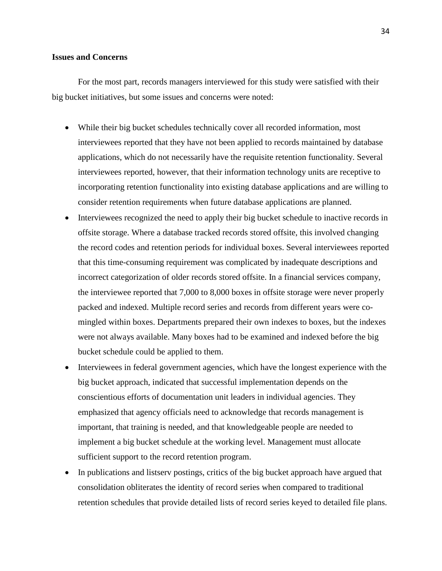#### **Issues and Concerns**

For the most part, records managers interviewed for this study were satisfied with their big bucket initiatives, but some issues and concerns were noted:

- While their big bucket schedules technically cover all recorded information, most interviewees reported that they have not been applied to records maintained by database applications, which do not necessarily have the requisite retention functionality. Several interviewees reported, however, that their information technology units are receptive to incorporating retention functionality into existing database applications and are willing to consider retention requirements when future database applications are planned.
- Interviewees recognized the need to apply their big bucket schedule to inactive records in offsite storage. Where a database tracked records stored offsite, this involved changing the record codes and retention periods for individual boxes. Several interviewees reported that this time-consuming requirement was complicated by inadequate descriptions and incorrect categorization of older records stored offsite. In a financial services company, the interviewee reported that 7,000 to 8,000 boxes in offsite storage were never properly packed and indexed. Multiple record series and records from different years were comingled within boxes. Departments prepared their own indexes to boxes, but the indexes were not always available. Many boxes had to be examined and indexed before the big bucket schedule could be applied to them.
- Interviewees in federal government agencies, which have the longest experience with the big bucket approach, indicated that successful implementation depends on the conscientious efforts of documentation unit leaders in individual agencies. They emphasized that agency officials need to acknowledge that records management is important, that training is needed, and that knowledgeable people are needed to implement a big bucket schedule at the working level. Management must allocate sufficient support to the record retention program.
- In publications and listserv postings, critics of the big bucket approach have argued that consolidation obliterates the identity of record series when compared to traditional retention schedules that provide detailed lists of record series keyed to detailed file plans.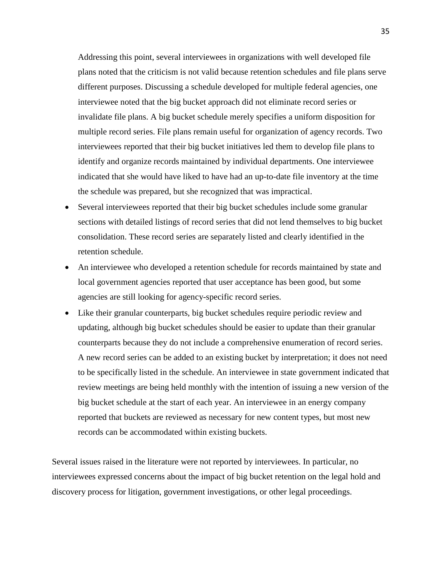Addressing this point, several interviewees in organizations with well developed file plans noted that the criticism is not valid because retention schedules and file plans serve different purposes. Discussing a schedule developed for multiple federal agencies, one interviewee noted that the big bucket approach did not eliminate record series or invalidate file plans. A big bucket schedule merely specifies a uniform disposition for multiple record series. File plans remain useful for organization of agency records. Two interviewees reported that their big bucket initiatives led them to develop file plans to identify and organize records maintained by individual departments. One interviewee indicated that she would have liked to have had an up-to-date file inventory at the time the schedule was prepared, but she recognized that was impractical.

- Several interviewees reported that their big bucket schedules include some granular sections with detailed listings of record series that did not lend themselves to big bucket consolidation. These record series are separately listed and clearly identified in the retention schedule.
- An interviewee who developed a retention schedule for records maintained by state and local government agencies reported that user acceptance has been good, but some agencies are still looking for agency-specific record series.
- Like their granular counterparts, big bucket schedules require periodic review and updating, although big bucket schedules should be easier to update than their granular counterparts because they do not include a comprehensive enumeration of record series. A new record series can be added to an existing bucket by interpretation; it does not need to be specifically listed in the schedule. An interviewee in state government indicated that review meetings are being held monthly with the intention of issuing a new version of the big bucket schedule at the start of each year. An interviewee in an energy company reported that buckets are reviewed as necessary for new content types, but most new records can be accommodated within existing buckets.

Several issues raised in the literature were not reported by interviewees. In particular, no interviewees expressed concerns about the impact of big bucket retention on the legal hold and discovery process for litigation, government investigations, or other legal proceedings.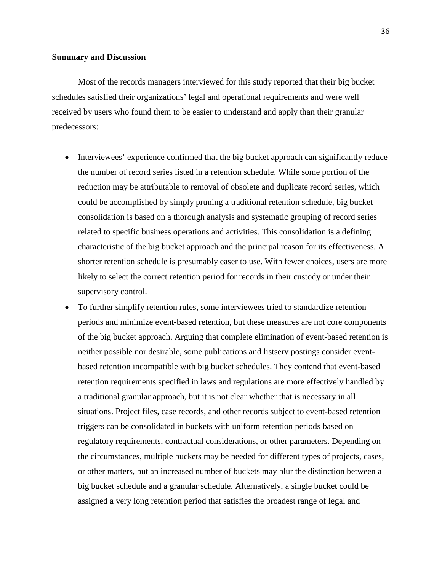Most of the records managers interviewed for this study reported that their big bucket schedules satisfied their organizations' legal and operational requirements and were well received by users who found them to be easier to understand and apply than their granular predecessors:

- Interviewees' experience confirmed that the big bucket approach can significantly reduce the number of record series listed in a retention schedule. While some portion of the reduction may be attributable to removal of obsolete and duplicate record series, which could be accomplished by simply pruning a traditional retention schedule, big bucket consolidation is based on a thorough analysis and systematic grouping of record series related to specific business operations and activities. This consolidation is a defining characteristic of the big bucket approach and the principal reason for its effectiveness. A shorter retention schedule is presumably easer to use. With fewer choices, users are more likely to select the correct retention period for records in their custody or under their supervisory control.
- To further simplify retention rules, some interviewees tried to standardize retention periods and minimize event-based retention, but these measures are not core components of the big bucket approach. Arguing that complete elimination of event-based retention is neither possible nor desirable, some publications and listserv postings consider eventbased retention incompatible with big bucket schedules. They contend that event-based retention requirements specified in laws and regulations are more effectively handled by a traditional granular approach, but it is not clear whether that is necessary in all situations. Project files, case records, and other records subject to event-based retention triggers can be consolidated in buckets with uniform retention periods based on regulatory requirements, contractual considerations, or other parameters. Depending on the circumstances, multiple buckets may be needed for different types of projects, cases, or other matters, but an increased number of buckets may blur the distinction between a big bucket schedule and a granular schedule. Alternatively, a single bucket could be assigned a very long retention period that satisfies the broadest range of legal and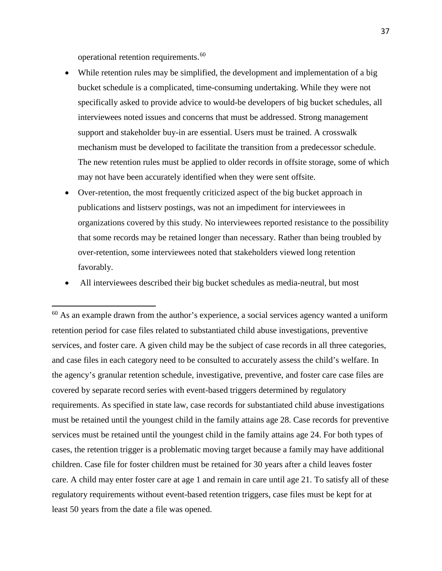operational retention requirements.[60](#page-38-0)

- While retention rules may be simplified, the development and implementation of a big bucket schedule is a complicated, time-consuming undertaking. While they were not specifically asked to provide advice to would-be developers of big bucket schedules, all interviewees noted issues and concerns that must be addressed. Strong management support and stakeholder buy-in are essential. Users must be trained. A crosswalk mechanism must be developed to facilitate the transition from a predecessor schedule. The new retention rules must be applied to older records in offsite storage, some of which may not have been accurately identified when they were sent offsite.
- Over-retention, the most frequently criticized aspect of the big bucket approach in publications and listserv postings, was not an impediment for interviewees in organizations covered by this study. No interviewees reported resistance to the possibility that some records may be retained longer than necessary. Rather than being troubled by over-retention, some interviewees noted that stakeholders viewed long retention favorably.
- All interviewees described their big bucket schedules as media-neutral, but most

<span id="page-38-0"></span><sup>60</sup> As an example drawn from the author's experience, a social services agency wanted a uniform retention period for case files related to substantiated child abuse investigations, preventive services, and foster care. A given child may be the subject of case records in all three categories, and case files in each category need to be consulted to accurately assess the child's welfare. In the agency's granular retention schedule, investigative, preventive, and foster care case files are covered by separate record series with event-based triggers determined by regulatory requirements. As specified in state law, case records for substantiated child abuse investigations must be retained until the youngest child in the family attains age 28. Case records for preventive services must be retained until the youngest child in the family attains age 24. For both types of cases, the retention trigger is a problematic moving target because a family may have additional children. Case file for foster children must be retained for 30 years after a child leaves foster care. A child may enter foster care at age 1 and remain in care until age 21. To satisfy all of these regulatory requirements without event-based retention triggers, case files must be kept for at least 50 years from the date a file was opened.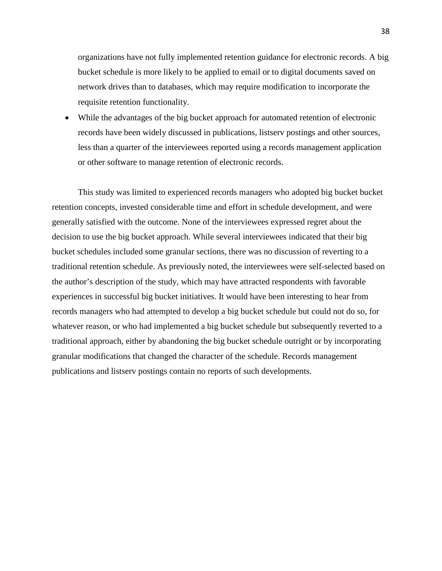organizations have not fully implemented retention guidance for electronic records. A big bucket schedule is more likely to be applied to email or to digital documents saved on network drives than to databases, which may require modification to incorporate the requisite retention functionality.

• While the advantages of the big bucket approach for automated retention of electronic records have been widely discussed in publications, listserv postings and other sources, less than a quarter of the interviewees reported using a records management application or other software to manage retention of electronic records.

This study was limited to experienced records managers who adopted big bucket bucket retention concepts, invested considerable time and effort in schedule development, and were generally satisfied with the outcome. None of the interviewees expressed regret about the decision to use the big bucket approach. While several interviewees indicated that their big bucket schedules included some granular sections, there was no discussion of reverting to a traditional retention schedule. As previously noted, the interviewees were self-selected based on the author's description of the study, which may have attracted respondents with favorable experiences in successful big bucket initiatives. It would have been interesting to hear from records managers who had attempted to develop a big bucket schedule but could not do so, for whatever reason, or who had implemented a big bucket schedule but subsequently reverted to a traditional approach, either by abandoning the big bucket schedule outright or by incorporating granular modifications that changed the character of the schedule. Records management publications and listserv postings contain no reports of such developments.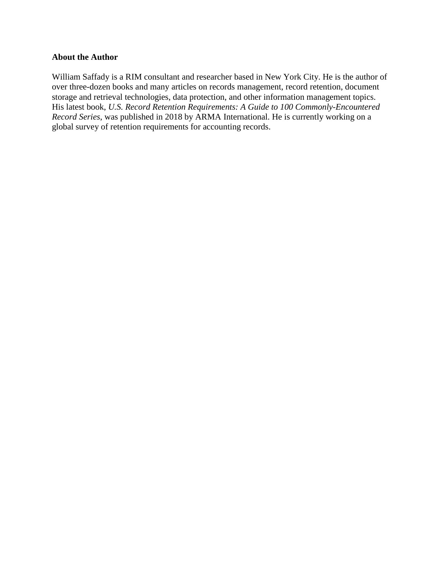### **About the Author**

William Saffady is a RIM consultant and researcher based in New York City. He is the author of over three-dozen books and many articles on records management, record retention, document storage and retrieval technologies, data protection, and other information management topics. His latest book, *U.S. Record Retention Requirements: A Guide to 100 Commonly-Encountered Record Series*, was published in 2018 by ARMA International. He is currently working on a global survey of retention requirements for accounting records.